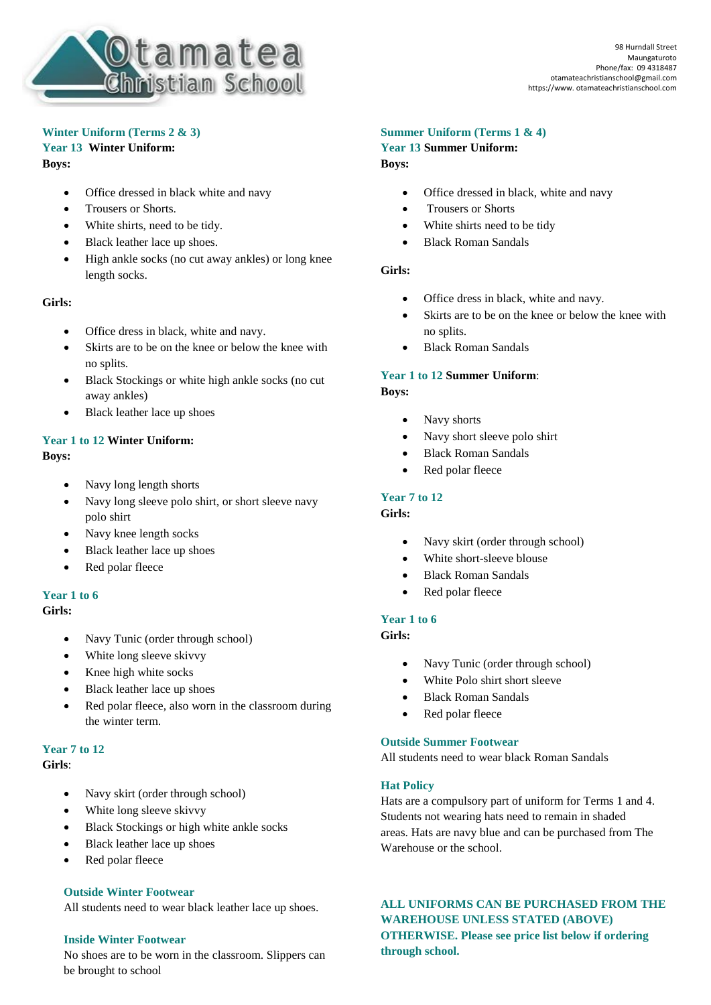

## **Winter Uniform (Terms 2 & 3)**

### **Year 13 Winter Uniform: Boys:**

- Office dressed in black white and navy
- Trousers or Shorts.
- White shirts, need to be tidy.
- Black leather lace up shoes.
- High ankle socks (no cut away ankles) or long knee length socks.

### **Girls:**

- Office dress in black, white and navy.
- Skirts are to be on the knee or below the knee with no splits.
- Black Stockings or white high ankle socks (no cut away ankles)
- Black leather lace up shoes

# **Year 1 to 12 Winter Uniform:**

#### **Boys:**

- Navy long length shorts
- Navy long sleeve polo shirt, or short sleeve navy polo shirt
- Navy knee length socks
- Black leather lace up shoes
- Red polar fleece

## **Year 1 to 6**

**Girls:**

- Navy Tunic (order through school)
- White long sleeve skivvy
- Knee high white socks
- Black leather lace up shoes
- Red polar fleece, also worn in the classroom during the winter term.

## **Year 7 to 12**

#### **Girls**:

- Navy skirt (order through school)
- White long sleeve skivvy
- Black Stockings or high white ankle socks
- Black leather lace up shoes
- Red polar fleece

## **Outside Winter Footwear**

All students need to wear black leather lace up shoes.

#### **Inside Winter Footwear**

No shoes are to be worn in the classroom. Slippers can be brought to school

## **Summer Uniform (Terms 1 & 4)**

**Year 13 Summer Uniform: Boys:**

- Office dressed in black, white and navy
- Trousers or Shorts
- White shirts need to be tidy
- Black Roman Sandals

#### **Girls:**

- Office dress in black, white and navy.
- Skirts are to be on the knee or below the knee with no splits.
- Black Roman Sandals

## **Year 1 to 12 Summer Uniform**:

**Boys:**

- Navy shorts
- Navy short sleeve polo shirt
- Black Roman Sandals
- Red polar fleece

## **Year 7 to 12**

#### **Girls:**

- Navy skirt (order through school)
- White short-sleeve blouse
- Black Roman Sandals
- Red polar fleece

### **Year 1 to 6**

## **Girls:**

- Navy Tunic (order through school)
- White Polo shirt short sleeve
- Black Roman Sandals
- Red polar fleece

#### **Outside Summer Footwear**

All students need to wear black Roman Sandals

#### **Hat Policy**

Hats are a compulsory part of uniform for Terms 1 and 4. Students not wearing hats need to remain in shaded areas. Hats are navy blue and can be purchased from The Warehouse or the school.

## **ALL UNIFORMS CAN BE PURCHASED FROM THE WAREHOUSE UNLESS STATED (ABOVE) OTHERWISE. Please see price list below if ordering through school.**